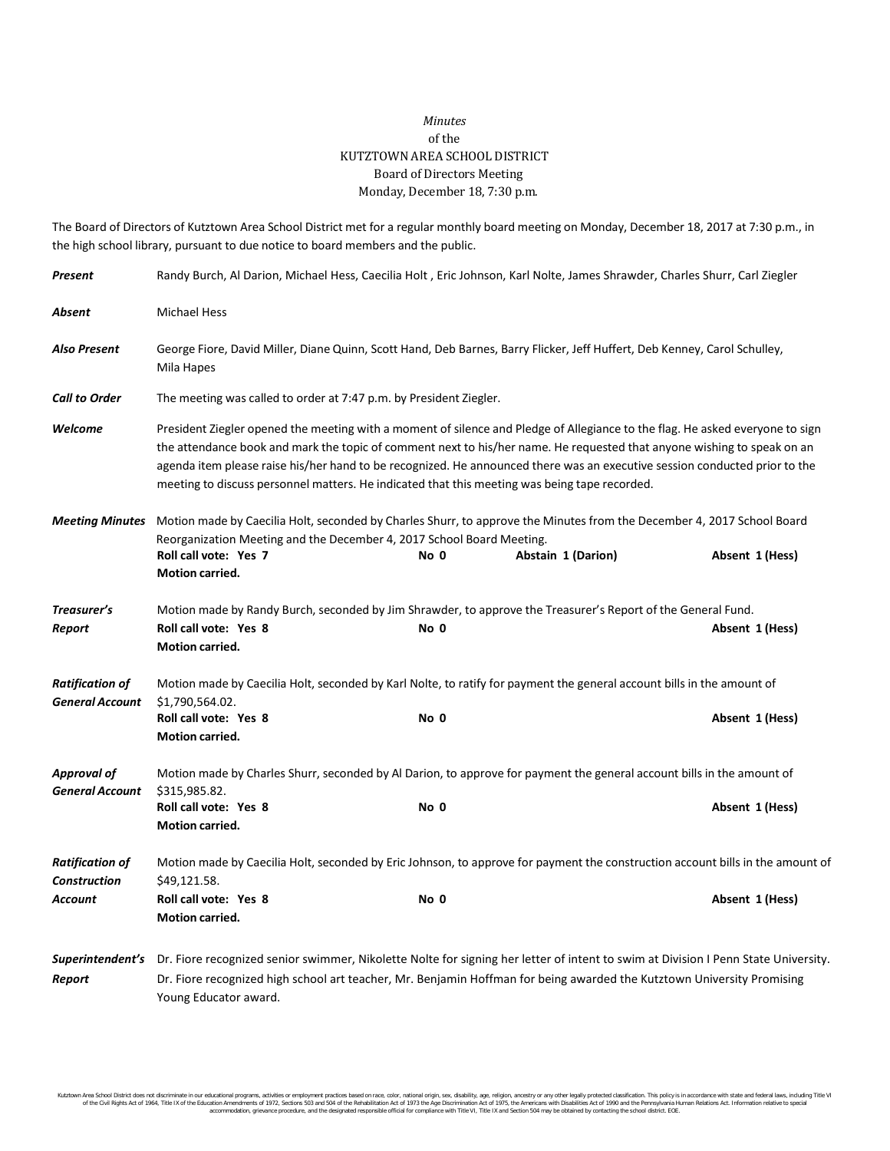## *Minutes* of the KUTZTOWN AREA SCHOOL DISTRICT Board of Directors Meeting Monday, December 18, 7:30 p.m.

The Board of Directors of Kutztown Area School District met for a regular monthly board meeting on Monday, December 18, 2017 at 7:30 p.m., in the high school library, pursuant to due notice to board members and the public.

| Present                                                                                                                                          | Randy Burch, Al Darion, Michael Hess, Caecilia Holt, Eric Johnson, Karl Nolte, James Shrawder, Charles Shurr, Carl Ziegler                                                                                                                                                                                                                                                                                                                                                              |      |                    |                 |
|--------------------------------------------------------------------------------------------------------------------------------------------------|-----------------------------------------------------------------------------------------------------------------------------------------------------------------------------------------------------------------------------------------------------------------------------------------------------------------------------------------------------------------------------------------------------------------------------------------------------------------------------------------|------|--------------------|-----------------|
| Absent                                                                                                                                           | <b>Michael Hess</b>                                                                                                                                                                                                                                                                                                                                                                                                                                                                     |      |                    |                 |
| <b>Also Present</b>                                                                                                                              | George Fiore, David Miller, Diane Quinn, Scott Hand, Deb Barnes, Barry Flicker, Jeff Huffert, Deb Kenney, Carol Schulley,<br>Mila Hapes                                                                                                                                                                                                                                                                                                                                                 |      |                    |                 |
| <b>Call to Order</b>                                                                                                                             | The meeting was called to order at 7:47 p.m. by President Ziegler.                                                                                                                                                                                                                                                                                                                                                                                                                      |      |                    |                 |
| Welcome                                                                                                                                          | President Ziegler opened the meeting with a moment of silence and Pledge of Allegiance to the flag. He asked everyone to sign<br>the attendance book and mark the topic of comment next to his/her name. He requested that anyone wishing to speak on an<br>agenda item please raise his/her hand to be recognized. He announced there was an executive session conducted prior to the<br>meeting to discuss personnel matters. He indicated that this meeting was being tape recorded. |      |                    |                 |
| Motion made by Caecilia Holt, seconded by Charles Shurr, to approve the Minutes from the December 4, 2017 School Board<br><b>Meeting Minutes</b> |                                                                                                                                                                                                                                                                                                                                                                                                                                                                                         |      |                    |                 |
|                                                                                                                                                  | Reorganization Meeting and the December 4, 2017 School Board Meeting.<br>Roll call vote: Yes 7<br><b>Motion carried.</b>                                                                                                                                                                                                                                                                                                                                                                | No 0 | Abstain 1 (Darion) | Absent 1 (Hess) |
| Treasurer's                                                                                                                                      | Motion made by Randy Burch, seconded by Jim Shrawder, to approve the Treasurer's Report of the General Fund.                                                                                                                                                                                                                                                                                                                                                                            |      |                    |                 |
| Report                                                                                                                                           | Roll call vote: Yes 8<br>Motion carried.                                                                                                                                                                                                                                                                                                                                                                                                                                                | No 0 |                    | Absent 1 (Hess) |
| <b>Ratification of</b><br><b>General Account</b>                                                                                                 | Motion made by Caecilia Holt, seconded by Karl Nolte, to ratify for payment the general account bills in the amount of<br>\$1,790,564.02.                                                                                                                                                                                                                                                                                                                                               |      |                    |                 |
|                                                                                                                                                  | Roll call vote: Yes 8<br><b>Motion carried.</b>                                                                                                                                                                                                                                                                                                                                                                                                                                         | No 0 |                    | Absent 1 (Hess) |
| <b>Approval of</b><br><b>General Account</b>                                                                                                     | Motion made by Charles Shurr, seconded by Al Darion, to approve for payment the general account bills in the amount of<br>\$315,985.82.                                                                                                                                                                                                                                                                                                                                                 |      |                    |                 |
|                                                                                                                                                  | Roll call vote: Yes 8<br>Motion carried.                                                                                                                                                                                                                                                                                                                                                                                                                                                | No 0 |                    | Absent 1 (Hess) |
| <b>Ratification of</b><br><b>Construction</b>                                                                                                    | Motion made by Caecilia Holt, seconded by Eric Johnson, to approve for payment the construction account bills in the amount of<br>\$49,121.58.                                                                                                                                                                                                                                                                                                                                          |      |                    |                 |
| Account                                                                                                                                          | Roll call vote: Yes 8<br>Motion carried.                                                                                                                                                                                                                                                                                                                                                                                                                                                | No 0 |                    | Absent 1 (Hess) |
|                                                                                                                                                  | Superintendent's Dr. Fiore recognized senior swimmer, Nikolette Nolte for signing her letter of intent to swim at Division I Penn State University.                                                                                                                                                                                                                                                                                                                                     |      |                    |                 |
| Report                                                                                                                                           | Dr. Fiore recognized high school art teacher, Mr. Benjamin Hoffman for being awarded the Kutztown University Promising<br>Young Educator award.                                                                                                                                                                                                                                                                                                                                         |      |                    |                 |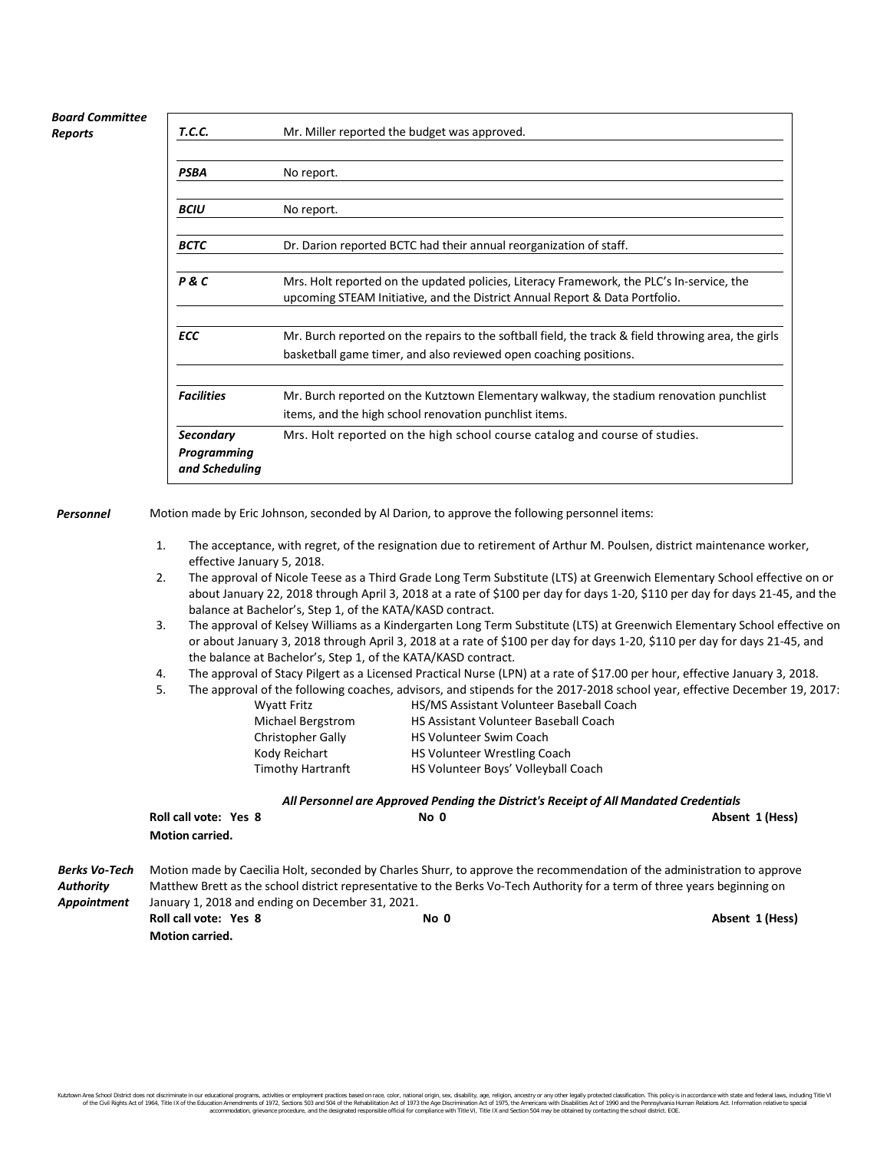## *Board Committee Reports*

| T.C.C.                        | Mr. Miller reported the budget was approved.                                                                                                                             |  |  |
|-------------------------------|--------------------------------------------------------------------------------------------------------------------------------------------------------------------------|--|--|
|                               |                                                                                                                                                                          |  |  |
| PSBA                          | No report.                                                                                                                                                               |  |  |
|                               |                                                                                                                                                                          |  |  |
| <b>BCIU</b>                   | No report.                                                                                                                                                               |  |  |
| <b>BCTC</b>                   | Dr. Darion reported BCTC had their annual reorganization of staff.                                                                                                       |  |  |
| P & C                         | Mrs. Holt reported on the updated policies, Literacy Framework, the PLC's In-service, the<br>upcoming STEAM Initiative, and the District Annual Report & Data Portfolio. |  |  |
|                               |                                                                                                                                                                          |  |  |
| <b>ECC</b>                    | Mr. Burch reported on the repairs to the softball field, the track & field throwing area, the girls                                                                      |  |  |
|                               | basketball game timer, and also reviewed open coaching positions.                                                                                                        |  |  |
| <b>Facilities</b>             | Mr. Burch reported on the Kutztown Elementary walkway, the stadium renovation punchlist                                                                                  |  |  |
|                               | items, and the high school renovation punchlist items.                                                                                                                   |  |  |
| <b>Secondary</b>              | Mrs. Holt reported on the high school course catalog and course of studies.                                                                                              |  |  |
| Programming<br>and Scheduling |                                                                                                                                                                          |  |  |

*Personnel* Motion made by Eric Johnson, seconded by Al Darion, to approve the following personnel items:

- 1. The acceptance, with regret, of the resignation due to retirement of Arthur M. Poulsen, district maintenance worker, effective January 5, 2018.
- 2. The approval of Nicole Teese as a Third Grade Long Term Substitute (LTS) at Greenwich Elementary School effective on or about January 22, 2018 through April 3, 2018 at a rate of \$100 per day for days 1-20, \$110 per day for days 21-45, and the balance at Bachelor's, Step 1, of the KATA/KASD contract.
- 3. The approval of Kelsey Williams as a Kindergarten Long Term Substitute (LTS) at Greenwich Elementary School effective on or about January 3, 2018 through April 3, 2018 at a rate of \$100 per day for days 1-20, \$110 per day for days 21-45, and the balance at Bachelor's, Step 1, of the KATA/KASD contract.
- 4. The approval of Stacy Pilgert as a Licensed Practical Nurse (LPN) at a rate of \$17.00 per hour, effective January 3, 2018.

|                          | The approval of the following coaches, advisors, and stipends for the 2017-2018 school year, effective December 19, 2017: |
|--------------------------|---------------------------------------------------------------------------------------------------------------------------|
| <b>Wyatt Fritz</b>       | <b>HS/MS Assistant Volunteer Baseball Coach</b>                                                                           |
| Michael Bergstrom        | <b>HS Assistant Volunteer Baseball Coach</b>                                                                              |
| <b>Christopher Gally</b> | <b>HS Volunteer Swim Coach</b>                                                                                            |

|  | All Personnel are Approved Pending the District's Receipt of All Mandated Credentials |  |
|--|---------------------------------------------------------------------------------------|--|
|  |                                                                                       |  |

|                                                                 | Roll call vote: Yes 8        | No <sub>0</sub> | Absent 1 (Hess)                                                                                                           |
|-----------------------------------------------------------------|------------------------------|-----------------|---------------------------------------------------------------------------------------------------------------------------|
|                                                                 | <b>Motion carried.</b>       |                 |                                                                                                                           |
| Berks Vo-Tech                                                   |                              |                 | Motion made by Caecilia Holt, seconded by Charles Shurr, to approve the recommendation of the administration to approve   |
| Authority                                                       |                              |                 | Matthew Brett as the school district representative to the Berks Vo-Tech Authority for a term of three years beginning on |
| Appointment<br>January 1, 2018 and ending on December 31, 2021. |                              |                 |                                                                                                                           |
|                                                                 | <b>Roll call vote: Yes 8</b> | No 0            | Absent 1 (Hess)                                                                                                           |
|                                                                 | <b>Motion carried.</b>       |                 |                                                                                                                           |

Kody Reichart **HS Volunteer Wrestling Coach** Timothy Hartranft HS Volunteer Boys' Volleyball Coach